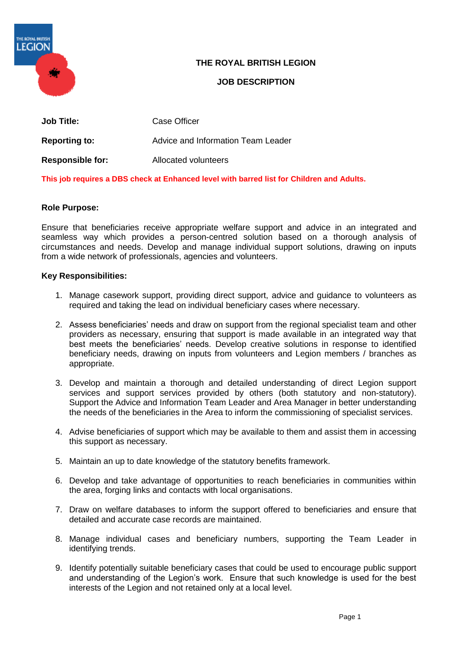

## **THE ROYAL BRITISH LEGION**

## **JOB DESCRIPTION**

| <b>Job Title:</b>       | Case Officer                       |
|-------------------------|------------------------------------|
| <b>Reporting to:</b>    | Advice and Information Team Leader |
| <b>Responsible for:</b> | Allocated volunteers               |

**This job requires a DBS check at Enhanced level with barred list for Children and Adults.**

## **Role Purpose:**

Ensure that beneficiaries receive appropriate welfare support and advice in an integrated and seamless way which provides a person-centred solution based on a thorough analysis of circumstances and needs. Develop and manage individual support solutions, drawing on inputs from a wide network of professionals, agencies and volunteers.

#### **Key Responsibilities:**

- 1. Manage casework support, providing direct support, advice and guidance to volunteers as required and taking the lead on individual beneficiary cases where necessary.
- 2. Assess beneficiaries' needs and draw on support from the regional specialist team and other providers as necessary, ensuring that support is made available in an integrated way that best meets the beneficiaries' needs. Develop creative solutions in response to identified beneficiary needs, drawing on inputs from volunteers and Legion members / branches as appropriate.
- 3. Develop and maintain a thorough and detailed understanding of direct Legion support services and support services provided by others (both statutory and non-statutory). Support the Advice and Information Team Leader and Area Manager in better understanding the needs of the beneficiaries in the Area to inform the commissioning of specialist services.
- 4. Advise beneficiaries of support which may be available to them and assist them in accessing this support as necessary.
- 5. Maintain an up to date knowledge of the statutory benefits framework.
- 6. Develop and take advantage of opportunities to reach beneficiaries in communities within the area, forging links and contacts with local organisations.
- 7. Draw on welfare databases to inform the support offered to beneficiaries and ensure that detailed and accurate case records are maintained.
- 8. Manage individual cases and beneficiary numbers, supporting the Team Leader in identifying trends.
- 9. Identify potentially suitable beneficiary cases that could be used to encourage public support and understanding of the Legion's work. Ensure that such knowledge is used for the best interests of the Legion and not retained only at a local level.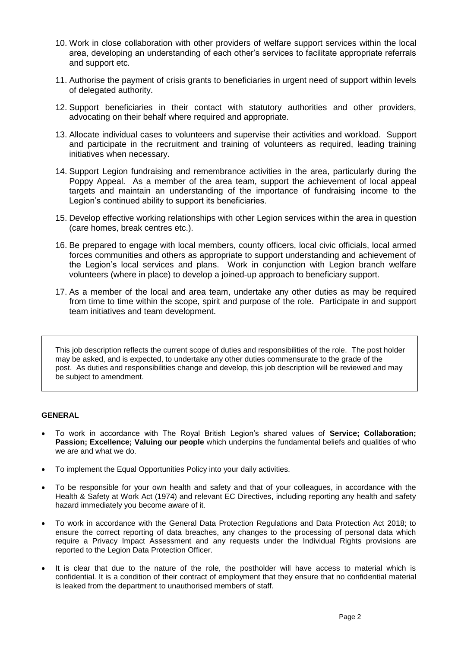- 10. Work in close collaboration with other providers of welfare support services within the local area, developing an understanding of each other's services to facilitate appropriate referrals and support etc.
- 11. Authorise the payment of crisis grants to beneficiaries in urgent need of support within levels of delegated authority.
- 12. Support beneficiaries in their contact with statutory authorities and other providers, advocating on their behalf where required and appropriate.
- 13. Allocate individual cases to volunteers and supervise their activities and workload. Support and participate in the recruitment and training of volunteers as required, leading training initiatives when necessary.
- 14. Support Legion fundraising and remembrance activities in the area, particularly during the Poppy Appeal. As a member of the area team, support the achievement of local appeal targets and maintain an understanding of the importance of fundraising income to the Legion's continued ability to support its beneficiaries.
- 15. Develop effective working relationships with other Legion services within the area in question (care homes, break centres etc.).
- 16. Be prepared to engage with local members, county officers, local civic officials, local armed forces communities and others as appropriate to support understanding and achievement of the Legion's local services and plans. Work in conjunction with Legion branch welfare volunteers (where in place) to develop a joined-up approach to beneficiary support.
- 17. As a member of the local and area team, undertake any other duties as may be required from time to time within the scope, spirit and purpose of the role. Participate in and support team initiatives and team development.

This job description reflects the current scope of duties and responsibilities of the role. The post holder may be asked, and is expected, to undertake any other duties commensurate to the grade of the post. As duties and responsibilities change and develop, this job description will be reviewed and may be subject to amendment.

#### **GENERAL**

- To work in accordance with The Royal British Legion's shared values of **Service; Collaboration; Passion; Excellence; Valuing our people** which underpins the fundamental beliefs and qualities of who we are and what we do.
- To implement the Equal Opportunities Policy into your daily activities.
- To be responsible for your own health and safety and that of your colleagues, in accordance with the Health & Safety at Work Act (1974) and relevant EC Directives, including reporting any health and safety hazard immediately you become aware of it.
- To work in accordance with the General Data Protection Regulations and Data Protection Act 2018; to ensure the correct reporting of data breaches, any changes to the processing of personal data which require a Privacy Impact Assessment and any requests under the Individual Rights provisions are reported to the Legion Data Protection Officer.
- It is clear that due to the nature of the role, the postholder will have access to material which is confidential. It is a condition of their contract of employment that they ensure that no confidential material is leaked from the department to unauthorised members of staff.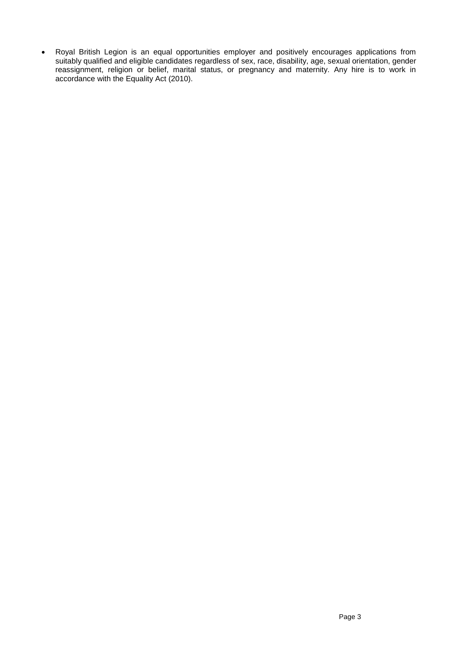• Royal British Legion is an equal opportunities employer and positively encourages applications from suitably qualified and eligible candidates regardless of sex, race, disability, age, sexual orientation, gender reassignment, religion or belief, marital status, or pregnancy and maternity. Any hire is to work in accordance with the Equality Act (2010).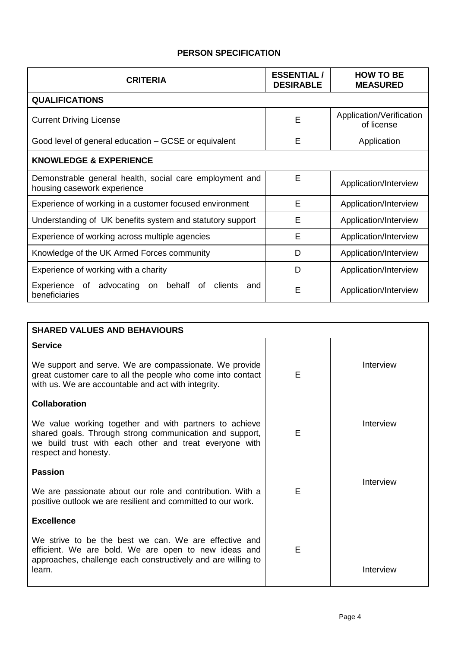# **PERSON SPECIFICATION**

| <b>CRITERIA</b>                                                                         | <b>ESSENTIAL/</b><br><b>DESIRABLE</b> | <b>HOW TO BE</b><br><b>MEASURED</b>    |  |  |
|-----------------------------------------------------------------------------------------|---------------------------------------|----------------------------------------|--|--|
| <b>QUALIFICATIONS</b>                                                                   |                                       |                                        |  |  |
| <b>Current Driving License</b>                                                          | E                                     | Application/Verification<br>of license |  |  |
| Good level of general education – GCSE or equivalent                                    | E                                     | Application                            |  |  |
| <b>KNOWLEDGE &amp; EXPERIENCE</b>                                                       |                                       |                                        |  |  |
| Demonstrable general health, social care employment and<br>housing casework experience  | E                                     | Application/Interview                  |  |  |
| Experience of working in a customer focused environment                                 | E                                     | Application/Interview                  |  |  |
| Understanding of UK benefits system and statutory support                               | E                                     | Application/Interview                  |  |  |
| Experience of working across multiple agencies                                          | E                                     | Application/Interview                  |  |  |
| Knowledge of the UK Armed Forces community                                              | D                                     | Application/Interview                  |  |  |
| Experience of working with a charity                                                    | D                                     | Application/Interview                  |  |  |
| Experience<br>advocating<br>behalf<br>of<br>clients<br>0f<br>on<br>and<br>beneficiaries | E                                     | Application/Interview                  |  |  |

| <b>SHARED VALUES AND BEHAVIOURS</b>                                                                                                                                                                 |   |           |  |  |
|-----------------------------------------------------------------------------------------------------------------------------------------------------------------------------------------------------|---|-----------|--|--|
| <b>Service</b>                                                                                                                                                                                      |   |           |  |  |
| We support and serve. We are compassionate. We provide<br>great customer care to all the people who come into contact<br>with us. We are accountable and act with integrity.                        | E | Interview |  |  |
| <b>Collaboration</b>                                                                                                                                                                                |   |           |  |  |
| We value working together and with partners to achieve<br>shared goals. Through strong communication and support,<br>we build trust with each other and treat everyone with<br>respect and honesty. | E | Interview |  |  |
| <b>Passion</b>                                                                                                                                                                                      |   |           |  |  |
| We are passionate about our role and contribution. With a<br>positive outlook we are resilient and committed to our work.                                                                           | E | Interview |  |  |
| <b>Excellence</b>                                                                                                                                                                                   |   |           |  |  |
| We strive to be the best we can. We are effective and<br>efficient. We are bold. We are open to new ideas and<br>approaches, challenge each constructively and are willing to<br>learn.             | Е | Interview |  |  |
|                                                                                                                                                                                                     |   |           |  |  |